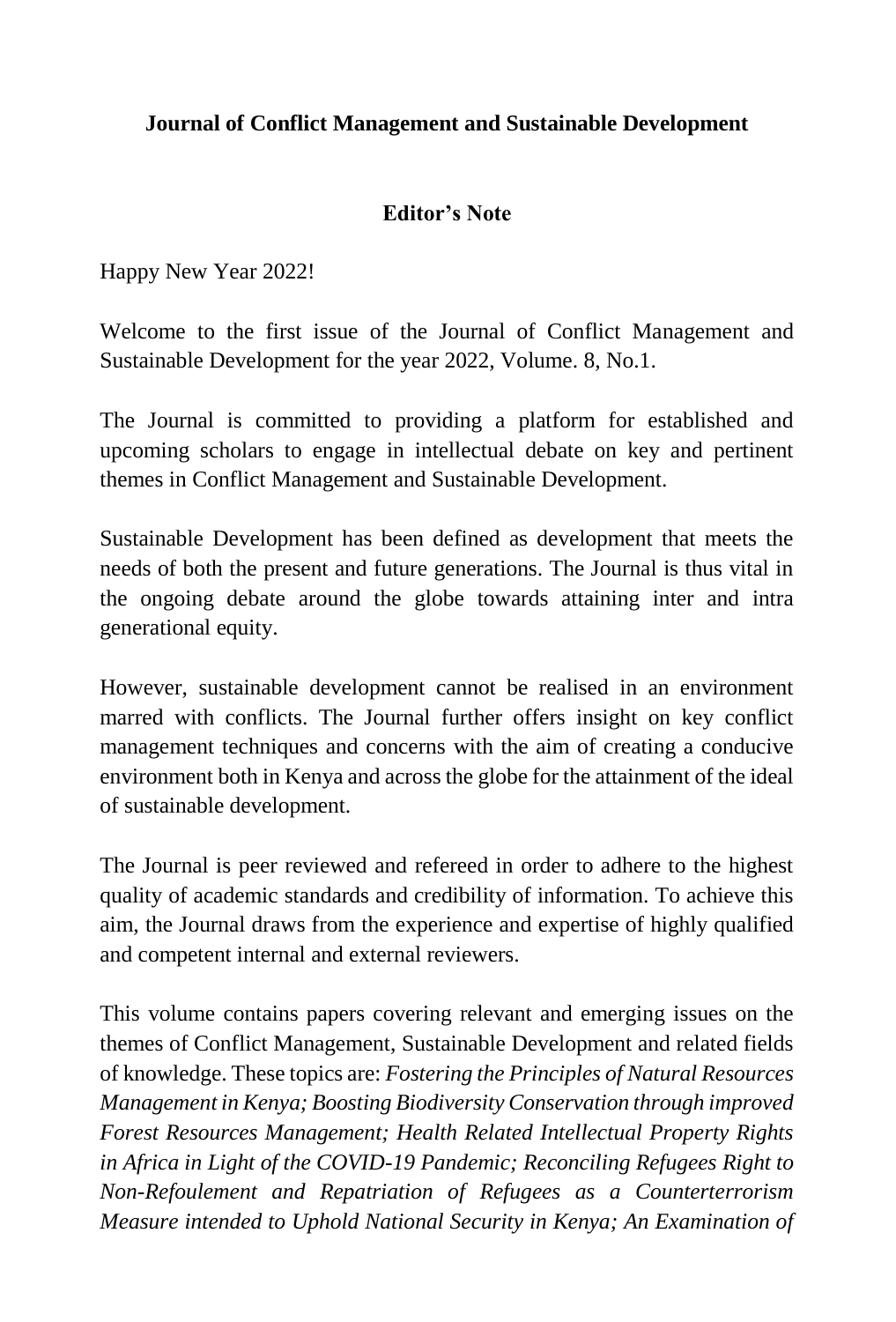## **Journal of Conflict Management and Sustainable Development**

## **Editor's Note**

Happy New Year 2022!

Welcome to the first issue of the Journal of Conflict Management and Sustainable Development for the year 2022, Volume. 8, No.1.

The Journal is committed to providing a platform for established and upcoming scholars to engage in intellectual debate on key and pertinent themes in Conflict Management and Sustainable Development.

Sustainable Development has been defined as development that meets the needs of both the present and future generations. The Journal is thus vital in the ongoing debate around the globe towards attaining inter and intra generational equity.

However, sustainable development cannot be realised in an environment marred with conflicts. The Journal further offers insight on key conflict management techniques and concerns with the aim of creating a conducive environment both in Kenya and across the globe for the attainment of the ideal of sustainable development.

The Journal is peer reviewed and refereed in order to adhere to the highest quality of academic standards and credibility of information. To achieve this aim, the Journal draws from the experience and expertise of highly qualified and competent internal and external reviewers.

This volume contains papers covering relevant and emerging issues on the themes of Conflict Management, Sustainable Development and related fields of knowledge. These topics are: *Fostering the Principles of Natural Resources Management in Kenya; Boosting Biodiversity Conservation through improved Forest Resources Management; Health Related Intellectual Property Rights in Africa in Light of the COVID-19 Pandemic; Reconciling Refugees Right to Non-Refoulement and Repatriation of Refugees as a Counterterrorism Measure intended to Uphold National Security in Kenya; An Examination of*